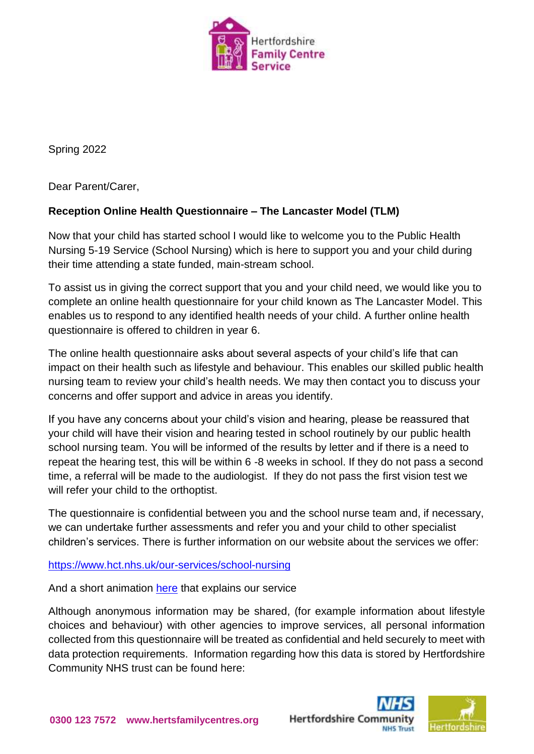

Spring 2022

Dear Parent/Carer,

## **Reception Online Health Questionnaire – The Lancaster Model (TLM)**

Now that your child has started school I would like to welcome you to the Public Health Nursing 5-19 Service (School Nursing) which is here to support you and your child during their time attending a state funded, main-stream school.

To assist us in giving the correct support that you and your child need, we would like you to complete an online health questionnaire for your child known as The Lancaster Model. This enables us to respond to any identified health needs of your child. A further online health questionnaire is offered to children in year 6.

The online health questionnaire asks about several aspects of your child's life that can impact on their health such as lifestyle and behaviour. This enables our skilled public health nursing team to review your child's health needs. We may then contact you to discuss your concerns and offer support and advice in areas you identify.

If you have any concerns about your child's vision and hearing, please be reassured that your child will have their vision and hearing tested in school routinely by our public health school nursing team. You will be informed of the results by letter and if there is a need to repeat the hearing test, this will be within 6 -8 weeks in school. If they do not pass a second time, a referral will be made to the audiologist. If they do not pass the first vision test we will refer your child to the orthoptist.

The questionnaire is confidential between you and the school nurse team and, if necessary, we can undertake further assessments and refer you and your child to other specialist children's services. There is further information on our website about the services we offer:

<https://www.hct.nhs.uk/our-services/school-nursing>

And a short animation [here](https://youtu.be/7RoTkp3vkB0) that explains our service

Although anonymous information may be shared, (for example information about lifestyle choices and behaviour) with other agencies to improve services, all personal information collected from this questionnaire will be treated as confidential and held securely to meet with data protection requirements. Information regarding how this data is stored by Hertfordshire Community NHS trust can be found here:



**Hertfordshire Comr**